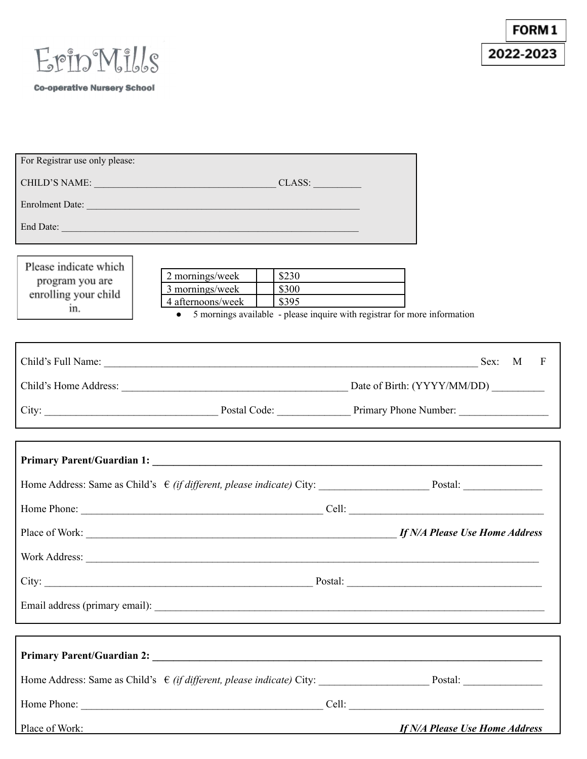

FORM1 2022-2023

**Co-operative Nursery School** 

| For Registrar use only please:                                   |                                                                                                                                                                                                                                |                                                                                                                                                                                                                               |
|------------------------------------------------------------------|--------------------------------------------------------------------------------------------------------------------------------------------------------------------------------------------------------------------------------|-------------------------------------------------------------------------------------------------------------------------------------------------------------------------------------------------------------------------------|
|                                                                  | CHILD'S NAME: CHILD'S NAME:                                                                                                                                                                                                    |                                                                                                                                                                                                                               |
|                                                                  | Enrolment Date:                                                                                                                                                                                                                |                                                                                                                                                                                                                               |
|                                                                  | End Date: Note: Note: Note: Note: Note: Note: Note: Note: Note: Note: Note: Note: Note: Note: Note: Note: Note: Note: Note: Note: Note: Note: Note: Note: Note: Note: Note: Note: Note: Note: Note: Note: Note: Note: Note: No |                                                                                                                                                                                                                               |
| Please indicate which<br>program you are<br>enrolling your child | \$230<br>2 mornings/week<br>3 mornings/week<br>\$300<br>4 afternoons/week<br>\$395                                                                                                                                             |                                                                                                                                                                                                                               |
| in.                                                              | 5 mornings available - please inquire with registrar for more information<br>$\bullet$                                                                                                                                         |                                                                                                                                                                                                                               |
|                                                                  |                                                                                                                                                                                                                                | Child's Full Name: Sex: M F                                                                                                                                                                                                   |
|                                                                  |                                                                                                                                                                                                                                |                                                                                                                                                                                                                               |
|                                                                  |                                                                                                                                                                                                                                | City: City: City: City: City: City: City: City: City: City: City: City: City: City: City: City: City: City: City: City: City: City: City: City: City: City: City: City: City: City: City: City: City: City: City: City: City: |
|                                                                  |                                                                                                                                                                                                                                |                                                                                                                                                                                                                               |
|                                                                  |                                                                                                                                                                                                                                |                                                                                                                                                                                                                               |
|                                                                  |                                                                                                                                                                                                                                |                                                                                                                                                                                                                               |
|                                                                  |                                                                                                                                                                                                                                |                                                                                                                                                                                                                               |
|                                                                  |                                                                                                                                                                                                                                |                                                                                                                                                                                                                               |
|                                                                  | Work Address:                                                                                                                                                                                                                  |                                                                                                                                                                                                                               |
|                                                                  |                                                                                                                                                                                                                                |                                                                                                                                                                                                                               |
|                                                                  |                                                                                                                                                                                                                                |                                                                                                                                                                                                                               |
|                                                                  |                                                                                                                                                                                                                                |                                                                                                                                                                                                                               |
|                                                                  |                                                                                                                                                                                                                                |                                                                                                                                                                                                                               |
|                                                                  |                                                                                                                                                                                                                                |                                                                                                                                                                                                                               |
| Home Phone:                                                      | Cell:                                                                                                                                                                                                                          |                                                                                                                                                                                                                               |

Place of Work: *If N/A Please Use Home Address*